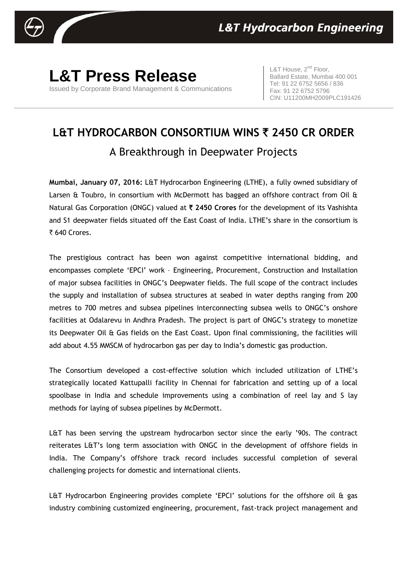

## **L&T Press Release** Issued by Corporate Brand Management & Communications

L&T House,  $2^{nd}$  Floor, Ballard Estate, Mumbai 400 001 Tel: 91 22 6752 5656 / 836 Fax: 91 22 6752 5796 CIN: U11200MH2009PLC191426

## **L&T HYDROCARBON CONSORTIUM WINS** ` **2450 CR ORDER**  A Breakthrough in Deepwater Projects

**Mumbai, January 07, 2016:** L&T Hydrocarbon Engineering (LTHE), a fully owned subsidiary of Larsen & Toubro, in consortium with McDermott has bagged an offshore contract from Oil & Natural Gas Corporation (ONGC) valued at ` **2450 Crores** for the development of its Vashishta and S1 deepwater fields situated off the East Coast of India. LTHE's share in the consortium is  $\overline{\xi}$  640 Crores.

The prestigious contract has been won against competitive international bidding, and encompasses complete 'EPCI' work – Engineering, Procurement, Construction and Installation of major subsea facilities in ONGC's Deepwater fields. The full scope of the contract includes the supply and installation of subsea structures at seabed in water depths ranging from 200 metres to 700 metres and subsea pipelines interconnecting subsea wells to ONGC's onshore facilities at Odalarevu in Andhra Pradesh. The project is part of ONGC's strategy to monetize its Deepwater Oil & Gas fields on the East Coast. Upon final commissioning, the facilities will add about 4.55 MMSCM of hydrocarbon gas per day to India's domestic gas production.

The Consortium developed a cost-effective solution which included utilization of LTHE's strategically located Kattupalli facility in Chennai for fabrication and setting up of a local spoolbase in India and schedule improvements using a combination of reel lay and S lay methods for laying of subsea pipelines by McDermott.

L&T has been serving the upstream hydrocarbon sector since the early '90s. The contract reiterates L&T's long term association with ONGC in the development of offshore fields in India. The Company's offshore track record includes successful completion of several challenging projects for domestic and international clients.

L&T Hydrocarbon Engineering provides complete 'EPCI' solutions for the offshore oil & gas industry combining customized engineering, procurement, fast-track project management and